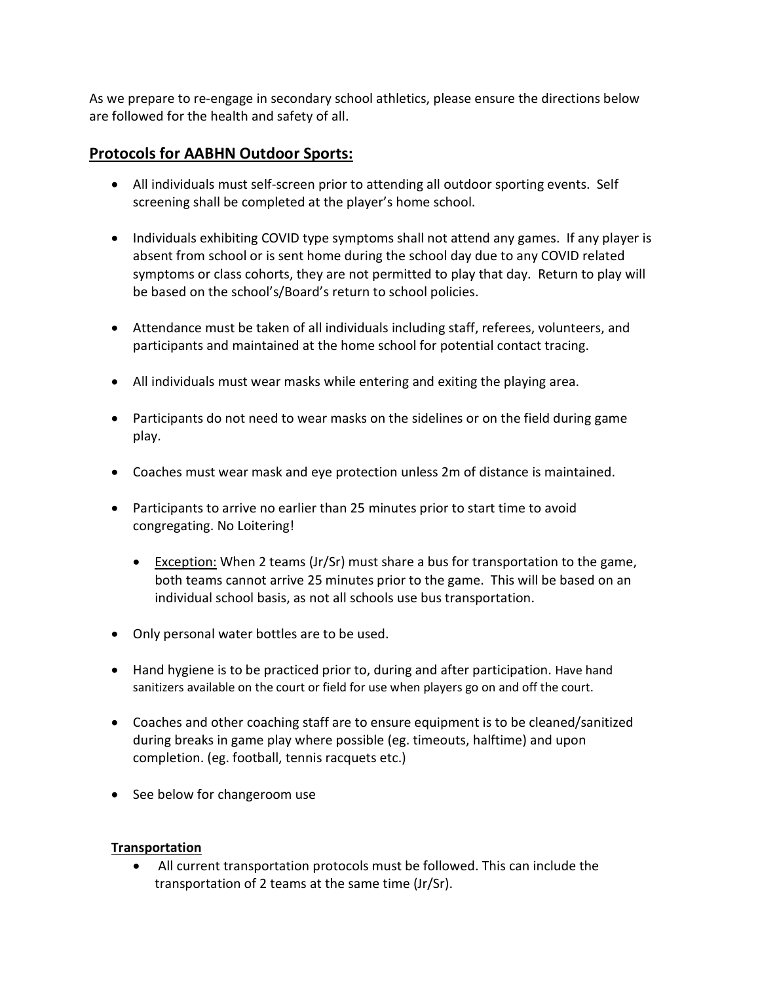As we prepare to re-engage in secondary school athletics, please ensure the directions below are followed for the health and safety of all.

## Protocols for AABHN Outdoor Sports:

- All individuals must self-screen prior to attending all outdoor sporting events. Self screening shall be completed at the player's home school.
- Individuals exhibiting COVID type symptoms shall not attend any games. If any player is absent from school or is sent home during the school day due to any COVID related symptoms or class cohorts, they are not permitted to play that day. Return to play will be based on the school's/Board's return to school policies.
- Attendance must be taken of all individuals including staff, referees, volunteers, and participants and maintained at the home school for potential contact tracing.
- All individuals must wear masks while entering and exiting the playing area.
- Participants do not need to wear masks on the sidelines or on the field during game play.
- Coaches must wear mask and eye protection unless 2m of distance is maintained.
- Participants to arrive no earlier than 25 minutes prior to start time to avoid congregating. No Loitering!
	- Exception: When 2 teams  $(Jr/Sr)$  must share a bus for transportation to the game, both teams cannot arrive 25 minutes prior to the game. This will be based on an individual school basis, as not all schools use bus transportation.
- Only personal water bottles are to be used.
- Hand hygiene is to be practiced prior to, during and after participation. Have hand sanitizers available on the court or field for use when players go on and off the court.
- Coaches and other coaching staff are to ensure equipment is to be cleaned/sanitized during breaks in game play where possible (eg. timeouts, halftime) and upon completion. (eg. football, tennis racquets etc.)
- See below for changeroom use

### Transportation

 All current transportation protocols must be followed. This can include the transportation of 2 teams at the same time (Jr/Sr).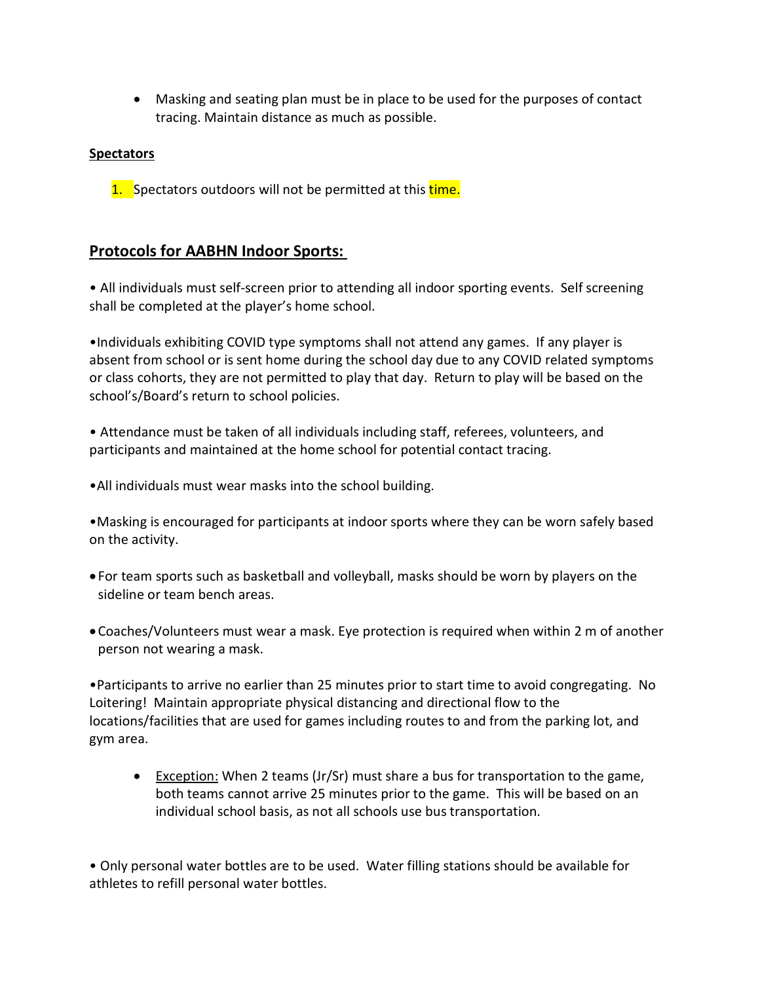Masking and seating plan must be in place to be used for the purposes of contact tracing. Maintain distance as much as possible.

### **Spectators**

1. Spectators outdoors will not be permitted at this time.

# Protocols for AABHN Indoor Sports:

 • All individuals must self-screen prior to attending all indoor sporting events. Self screening shall be completed at the player's home school.

•Individuals exhibiting COVID type symptoms shall not attend any games. If any player is absent from school or is sent home during the school day due to any COVID related symptoms or class cohorts, they are not permitted to play that day. Return to play will be based on the school's/Board's return to school policies.

• Attendance must be taken of all individuals including staff, referees, volunteers, and participants and maintained at the home school for potential contact tracing.

•All individuals must wear masks into the school building.

 •Masking is encouraged for participants at indoor sports where they can be worn safely based on the activity.

- For team sports such as basketball and volleyball, masks should be worn by players on the sideline or team bench areas.
- Coaches/Volunteers must wear a mask. Eye protection is required when within 2 m of another person not wearing a mask.

•Participants to arrive no earlier than 25 minutes prior to start time to avoid congregating. No Loitering! Maintain appropriate physical distancing and directional flow to the locations/facilities that are used for games including routes to and from the parking lot, and gym area.

 Exception: When 2 teams (Jr/Sr) must share a bus for transportation to the game, both teams cannot arrive 25 minutes prior to the game. This will be based on an individual school basis, as not all schools use bus transportation.

• Only personal water bottles are to be used. Water filling stations should be available for athletes to refill personal water bottles.